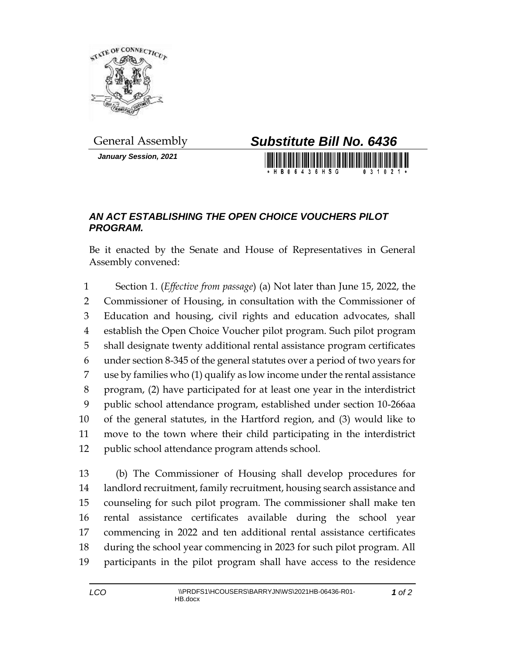

*January Session, 2021*



## *AN ACT ESTABLISHING THE OPEN CHOICE VOUCHERS PILOT PROGRAM.*

Be it enacted by the Senate and House of Representatives in General Assembly convened:

 Section 1. (*Effective from passage*) (a) Not later than June 15, 2022, the Commissioner of Housing, in consultation with the Commissioner of Education and housing, civil rights and education advocates, shall establish the Open Choice Voucher pilot program. Such pilot program shall designate twenty additional rental assistance program certificates under section 8-345 of the general statutes over a period of two years for use by families who (1) qualify as low income under the rental assistance program, (2) have participated for at least one year in the interdistrict public school attendance program, established under section 10-266aa of the general statutes, in the Hartford region, and (3) would like to move to the town where their child participating in the interdistrict public school attendance program attends school.

 (b) The Commissioner of Housing shall develop procedures for landlord recruitment, family recruitment, housing search assistance and counseling for such pilot program. The commissioner shall make ten rental assistance certificates available during the school year commencing in 2022 and ten additional rental assistance certificates during the school year commencing in 2023 for such pilot program. All participants in the pilot program shall have access to the residence

*of 2*